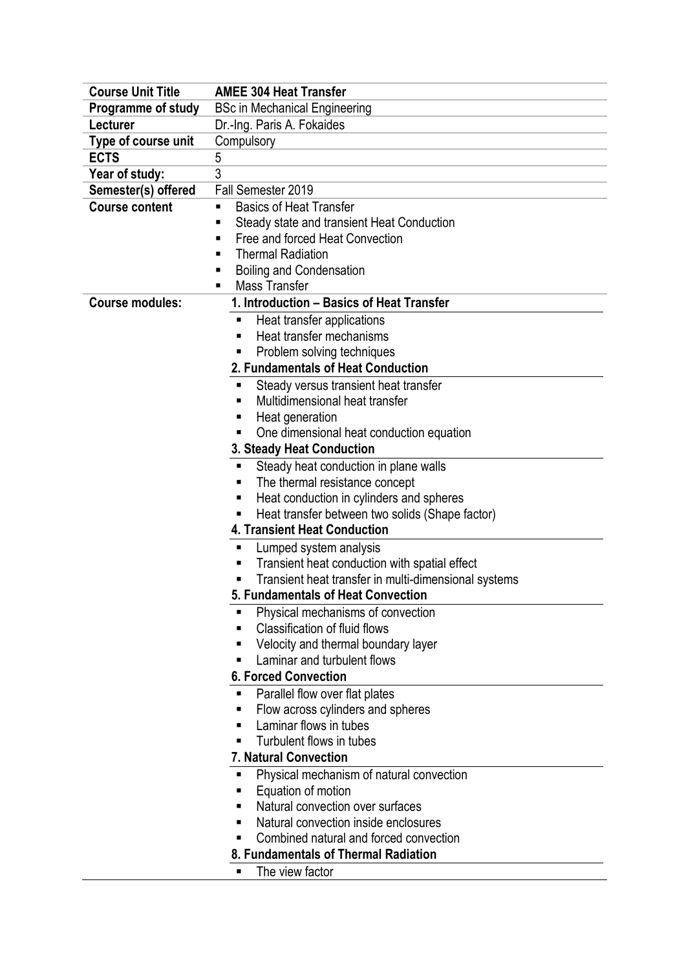| <b>Course Unit Title</b> | <b>AMEE 304 Heat Transfer</b>                        |
|--------------------------|------------------------------------------------------|
| Programme of study       | <b>BSc in Mechanical Engineering</b>                 |
| Lecturer                 | Dr.-Ing. Paris A. Fokaides                           |
| Type of course unit      | Compulsory                                           |
| <b>ECTS</b>              | 5                                                    |
| Year of study:           | 3                                                    |
| Semester(s) offered      | Fall Semester 2019                                   |
| <b>Course content</b>    | <b>Basics of Heat Transfer</b><br>$\blacksquare$     |
|                          | Steady state and transient Heat Conduction<br>П      |
|                          | Free and forced Heat Convection<br>п                 |
|                          | <b>Thermal Radiation</b><br>п                        |
|                          | <b>Boiling and Condensation</b><br>п                 |
|                          | <b>Mass Transfer</b><br>п                            |
| <b>Course modules:</b>   | 1. Introduction - Basics of Heat Transfer            |
|                          | Heat transfer applications<br>п                      |
|                          | Heat transfer mechanisms<br>п                        |
|                          | Problem solving techniques<br>п                      |
|                          | 2. Fundamentals of Heat Conduction                   |
|                          | Steady versus transient heat transfer<br>п           |
|                          | Multidimensional heat transfer<br>٠                  |
|                          | Heat generation<br>Е                                 |
|                          | One dimensional heat conduction equation             |
|                          | <b>3. Steady Heat Conduction</b>                     |
|                          | Steady heat conduction in plane walls<br>п           |
|                          | The thermal resistance concept<br>п                  |
|                          | Heat conduction in cylinders and spheres<br>п        |
|                          | Heat transfer between two solids (Shape factor)      |
|                          | <b>4. Transient Heat Conduction</b>                  |
|                          | Lumped system analysis<br>п                          |
|                          | Transient heat conduction with spatial effect<br>п   |
|                          | Transient heat transfer in multi-dimensional systems |
|                          | 5. Fundamentals of Heat Convection                   |
|                          | Physical mechanisms of convection<br>٠               |
|                          | <b>Classification of fluid flows</b><br>п            |
|                          | Velocity and thermal boundary layer<br>٠             |
|                          | Laminar and turbulent flows<br>П                     |
|                          | <b>6. Forced Convection</b>                          |
|                          | Parallel flow over flat plates                       |
|                          | Flow across cylinders and spheres                    |
|                          | Laminar flows in tubes<br>п                          |
|                          | Turbulent flows in tubes                             |
|                          | 7. Natural Convection                                |
|                          | Physical mechanism of natural convection<br>▪        |
|                          | Equation of motion                                   |
|                          | Natural convection over surfaces<br>п                |
|                          | Natural convection inside enclosures<br>п            |
|                          | Combined natural and forced convection               |
|                          | 8. Fundamentals of Thermal Radiation                 |
|                          | The view factor<br>٠                                 |